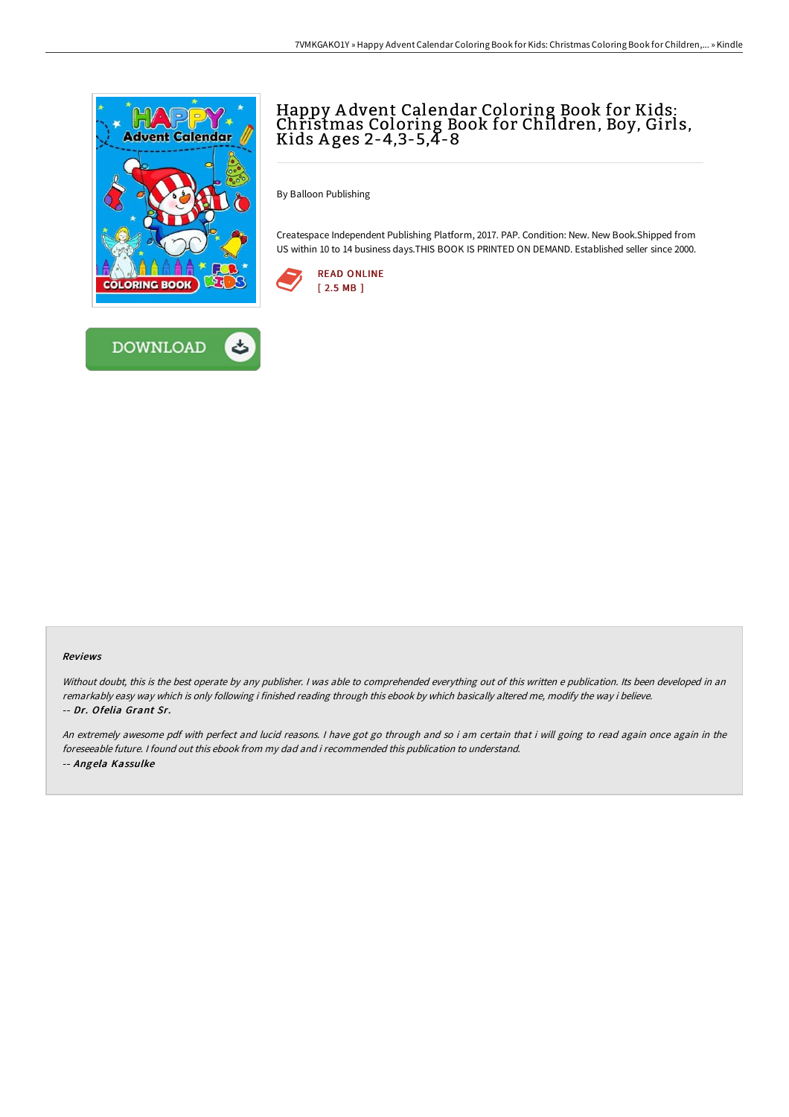



By Balloon Publishing

Createspace Independent Publishing Platform, 2017. PAP. Condition: New. New Book.Shipped from US within 10 to 14 business days.THIS BOOK IS PRINTED ON DEMAND. Established seller since 2000.





## Reviews

Without doubt, this is the best operate by any publisher. I was able to comprehended everything out of this written e publication. Its been developed in an remarkably easy way which is only following i finished reading through this ebook by which basically altered me, modify the way i believe. -- Dr. Ofelia Grant Sr.

An extremely awesome pdf with perfect and lucid reasons. <sup>I</sup> have got go through and so i am certain that i will going to read again once again in the foreseeable future. I found out this ebook from my dad and i recommended this publication to understand. -- Angela Kassulke